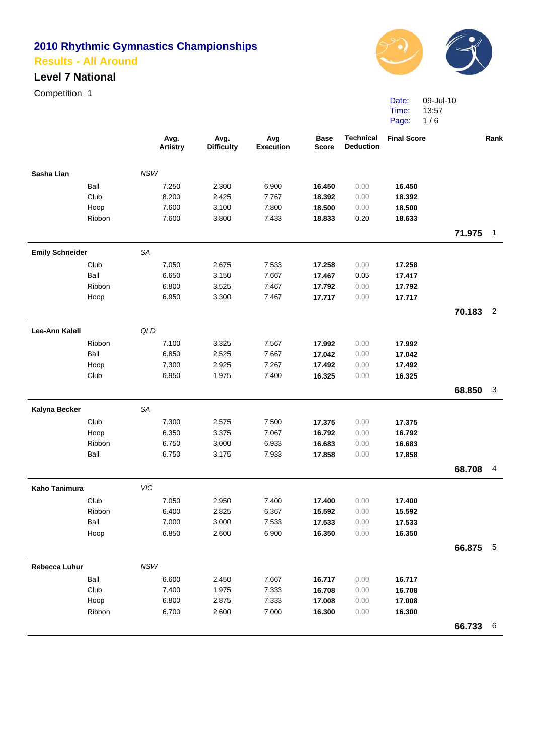#### **Level 7 National**

Competition 1



Date: 09-Jul-10 Time: Page: 13:57 1 / 6

|                        |                                                                                                                                                                                                                                                                                                                                                                                                                                                                                                                                                                                                                                                                                                                                                                                                                                                                                                                                                                                                                                                                                                                                                                                                                                                                                                                                                                                                                                                                                                                                                                                                                                                                                                                                     | <b>Artistry</b> | <b>Difficulty</b> | <b>Execution</b> | <b>Base</b><br><b>Score</b> | <b>Deduction</b> | <b>Final Score</b> |          | Rank           |
|------------------------|-------------------------------------------------------------------------------------------------------------------------------------------------------------------------------------------------------------------------------------------------------------------------------------------------------------------------------------------------------------------------------------------------------------------------------------------------------------------------------------------------------------------------------------------------------------------------------------------------------------------------------------------------------------------------------------------------------------------------------------------------------------------------------------------------------------------------------------------------------------------------------------------------------------------------------------------------------------------------------------------------------------------------------------------------------------------------------------------------------------------------------------------------------------------------------------------------------------------------------------------------------------------------------------------------------------------------------------------------------------------------------------------------------------------------------------------------------------------------------------------------------------------------------------------------------------------------------------------------------------------------------------------------------------------------------------------------------------------------------------|-----------------|-------------------|------------------|-----------------------------|------------------|--------------------|----------|----------------|
| Sasha Lian             | Avg.<br>Avg.<br>Avg<br><b>Technical</b><br><b>NSW</b><br>Ball<br>6.900<br>7.250<br>2.300<br>16.450<br>0.00<br>16.450<br>Club<br>8.200<br>2.425<br>7.767<br>18.392<br>18.392<br>0.00<br>7.600<br>3.100<br>7.800<br>18.500<br>Hoop<br>18.500<br>0.00<br>7.600<br>0.20<br>18.633<br>Ribbon<br>3.800<br>7.433<br>18.833<br>71.975<br>SA<br>Club<br>7.050<br>17.258<br>2.675<br>7.533<br>17.258<br>0.00<br>Ball<br>6.650<br>3.150<br>7.667<br>17.467<br>0.05<br>17.417<br>Ribbon<br>6.800<br>3.525<br>7.467<br>17.792<br>0.00<br>17.792<br>6.950<br>3.300<br>7.467<br>17.717<br>0.00<br>17.717<br>Hoop<br>70.183<br>QLD<br>Ribbon<br>7.100<br>7.567<br>3.325<br>0.00<br>17.992<br>17.992<br>Ball<br>2.525<br>7.667<br>6.850<br>0.00<br>17.042<br>17.042<br>2.925<br>7.267<br>Hoop<br>7.300<br>0.00<br>17.492<br>17.492<br>Club<br>1.975<br>7.400<br>6.950<br>0.00<br>16.325<br>16.325<br>68.850<br><b>SA</b><br>7.300<br>2.575<br>7.500<br>Club<br>17.375<br>0.00<br>17.375<br>6.350<br>3.375<br>7.067<br>Hoop<br>16.792<br>0.00<br>16.792<br>6.750<br>3.000<br>Ribbon<br>6.933<br>0.00<br>16.683<br>16.683<br>Ball<br>6.750<br>3.175<br>7.933<br>0.00<br>17.858<br>17.858<br>68.708<br>VIC<br>Club<br>7.050<br>2.950<br>7.400<br>17.400<br>0.00<br>17.400<br>Ribbon<br>6.400<br>2.825<br>6.367<br>15.592<br>0.00<br>15.592<br>Ball<br>7.000<br>3.000<br>7.533<br>0.00<br>17.533<br>17.533<br>6.850<br>2.600<br>6.900<br>0.00<br>Hoop<br>16.350<br>16.350<br>66.875<br>NSW<br>Ball<br>6.600<br>7.667<br>2.450<br>16.717<br>0.00<br>16.717<br>Club<br>7.400<br>1.975<br>7.333<br>16.708<br>0.00<br>16.708<br>Hoop<br>6.800<br>2.875<br>7.333<br>17.008<br>0.00<br>17.008<br>6.700<br>2.600<br>7.000<br>Ribbon<br>16.300<br>0.00<br>16.300 |                 |                   |                  |                             |                  |                    |          |                |
|                        |                                                                                                                                                                                                                                                                                                                                                                                                                                                                                                                                                                                                                                                                                                                                                                                                                                                                                                                                                                                                                                                                                                                                                                                                                                                                                                                                                                                                                                                                                                                                                                                                                                                                                                                                     |                 |                   |                  |                             |                  |                    |          |                |
|                        |                                                                                                                                                                                                                                                                                                                                                                                                                                                                                                                                                                                                                                                                                                                                                                                                                                                                                                                                                                                                                                                                                                                                                                                                                                                                                                                                                                                                                                                                                                                                                                                                                                                                                                                                     |                 |                   |                  |                             |                  |                    |          |                |
|                        |                                                                                                                                                                                                                                                                                                                                                                                                                                                                                                                                                                                                                                                                                                                                                                                                                                                                                                                                                                                                                                                                                                                                                                                                                                                                                                                                                                                                                                                                                                                                                                                                                                                                                                                                     |                 |                   |                  |                             |                  |                    |          |                |
|                        |                                                                                                                                                                                                                                                                                                                                                                                                                                                                                                                                                                                                                                                                                                                                                                                                                                                                                                                                                                                                                                                                                                                                                                                                                                                                                                                                                                                                                                                                                                                                                                                                                                                                                                                                     |                 |                   |                  |                             |                  |                    |          |                |
|                        |                                                                                                                                                                                                                                                                                                                                                                                                                                                                                                                                                                                                                                                                                                                                                                                                                                                                                                                                                                                                                                                                                                                                                                                                                                                                                                                                                                                                                                                                                                                                                                                                                                                                                                                                     |                 |                   |                  |                             |                  |                    |          | $\mathbf{1}$   |
| <b>Emily Schneider</b> |                                                                                                                                                                                                                                                                                                                                                                                                                                                                                                                                                                                                                                                                                                                                                                                                                                                                                                                                                                                                                                                                                                                                                                                                                                                                                                                                                                                                                                                                                                                                                                                                                                                                                                                                     |                 |                   |                  |                             |                  |                    |          |                |
|                        |                                                                                                                                                                                                                                                                                                                                                                                                                                                                                                                                                                                                                                                                                                                                                                                                                                                                                                                                                                                                                                                                                                                                                                                                                                                                                                                                                                                                                                                                                                                                                                                                                                                                                                                                     |                 |                   |                  |                             |                  |                    |          |                |
|                        |                                                                                                                                                                                                                                                                                                                                                                                                                                                                                                                                                                                                                                                                                                                                                                                                                                                                                                                                                                                                                                                                                                                                                                                                                                                                                                                                                                                                                                                                                                                                                                                                                                                                                                                                     |                 |                   |                  |                             |                  |                    |          |                |
|                        |                                                                                                                                                                                                                                                                                                                                                                                                                                                                                                                                                                                                                                                                                                                                                                                                                                                                                                                                                                                                                                                                                                                                                                                                                                                                                                                                                                                                                                                                                                                                                                                                                                                                                                                                     |                 |                   |                  |                             |                  |                    |          |                |
|                        |                                                                                                                                                                                                                                                                                                                                                                                                                                                                                                                                                                                                                                                                                                                                                                                                                                                                                                                                                                                                                                                                                                                                                                                                                                                                                                                                                                                                                                                                                                                                                                                                                                                                                                                                     |                 |                   |                  |                             |                  |                    |          |                |
|                        |                                                                                                                                                                                                                                                                                                                                                                                                                                                                                                                                                                                                                                                                                                                                                                                                                                                                                                                                                                                                                                                                                                                                                                                                                                                                                                                                                                                                                                                                                                                                                                                                                                                                                                                                     |                 |                   |                  |                             |                  |                    |          | $\overline{2}$ |
| <b>Lee-Ann Kalell</b>  |                                                                                                                                                                                                                                                                                                                                                                                                                                                                                                                                                                                                                                                                                                                                                                                                                                                                                                                                                                                                                                                                                                                                                                                                                                                                                                                                                                                                                                                                                                                                                                                                                                                                                                                                     |                 |                   |                  |                             |                  |                    | 66.733 6 |                |
|                        |                                                                                                                                                                                                                                                                                                                                                                                                                                                                                                                                                                                                                                                                                                                                                                                                                                                                                                                                                                                                                                                                                                                                                                                                                                                                                                                                                                                                                                                                                                                                                                                                                                                                                                                                     |                 |                   |                  |                             |                  |                    |          |                |
|                        |                                                                                                                                                                                                                                                                                                                                                                                                                                                                                                                                                                                                                                                                                                                                                                                                                                                                                                                                                                                                                                                                                                                                                                                                                                                                                                                                                                                                                                                                                                                                                                                                                                                                                                                                     |                 |                   |                  |                             |                  |                    |          |                |
|                        |                                                                                                                                                                                                                                                                                                                                                                                                                                                                                                                                                                                                                                                                                                                                                                                                                                                                                                                                                                                                                                                                                                                                                                                                                                                                                                                                                                                                                                                                                                                                                                                                                                                                                                                                     |                 |                   |                  |                             |                  |                    |          |                |
|                        |                                                                                                                                                                                                                                                                                                                                                                                                                                                                                                                                                                                                                                                                                                                                                                                                                                                                                                                                                                                                                                                                                                                                                                                                                                                                                                                                                                                                                                                                                                                                                                                                                                                                                                                                     |                 |                   |                  |                             |                  |                    |          |                |
|                        |                                                                                                                                                                                                                                                                                                                                                                                                                                                                                                                                                                                                                                                                                                                                                                                                                                                                                                                                                                                                                                                                                                                                                                                                                                                                                                                                                                                                                                                                                                                                                                                                                                                                                                                                     |                 |                   |                  |                             |                  |                    |          | 3              |
| Kalyna Becker          |                                                                                                                                                                                                                                                                                                                                                                                                                                                                                                                                                                                                                                                                                                                                                                                                                                                                                                                                                                                                                                                                                                                                                                                                                                                                                                                                                                                                                                                                                                                                                                                                                                                                                                                                     |                 |                   |                  |                             |                  |                    |          |                |
|                        |                                                                                                                                                                                                                                                                                                                                                                                                                                                                                                                                                                                                                                                                                                                                                                                                                                                                                                                                                                                                                                                                                                                                                                                                                                                                                                                                                                                                                                                                                                                                                                                                                                                                                                                                     |                 |                   |                  |                             |                  |                    |          |                |
|                        |                                                                                                                                                                                                                                                                                                                                                                                                                                                                                                                                                                                                                                                                                                                                                                                                                                                                                                                                                                                                                                                                                                                                                                                                                                                                                                                                                                                                                                                                                                                                                                                                                                                                                                                                     |                 |                   |                  |                             |                  |                    |          |                |
|                        |                                                                                                                                                                                                                                                                                                                                                                                                                                                                                                                                                                                                                                                                                                                                                                                                                                                                                                                                                                                                                                                                                                                                                                                                                                                                                                                                                                                                                                                                                                                                                                                                                                                                                                                                     |                 |                   |                  |                             |                  |                    |          |                |
|                        |                                                                                                                                                                                                                                                                                                                                                                                                                                                                                                                                                                                                                                                                                                                                                                                                                                                                                                                                                                                                                                                                                                                                                                                                                                                                                                                                                                                                                                                                                                                                                                                                                                                                                                                                     |                 |                   |                  |                             |                  |                    |          |                |
|                        |                                                                                                                                                                                                                                                                                                                                                                                                                                                                                                                                                                                                                                                                                                                                                                                                                                                                                                                                                                                                                                                                                                                                                                                                                                                                                                                                                                                                                                                                                                                                                                                                                                                                                                                                     |                 |                   |                  |                             |                  |                    |          | 4              |
| <b>Kaho Tanimura</b>   |                                                                                                                                                                                                                                                                                                                                                                                                                                                                                                                                                                                                                                                                                                                                                                                                                                                                                                                                                                                                                                                                                                                                                                                                                                                                                                                                                                                                                                                                                                                                                                                                                                                                                                                                     |                 |                   |                  |                             |                  |                    |          |                |
|                        |                                                                                                                                                                                                                                                                                                                                                                                                                                                                                                                                                                                                                                                                                                                                                                                                                                                                                                                                                                                                                                                                                                                                                                                                                                                                                                                                                                                                                                                                                                                                                                                                                                                                                                                                     |                 |                   |                  |                             |                  |                    |          |                |
|                        |                                                                                                                                                                                                                                                                                                                                                                                                                                                                                                                                                                                                                                                                                                                                                                                                                                                                                                                                                                                                                                                                                                                                                                                                                                                                                                                                                                                                                                                                                                                                                                                                                                                                                                                                     |                 |                   |                  |                             |                  |                    |          |                |
|                        |                                                                                                                                                                                                                                                                                                                                                                                                                                                                                                                                                                                                                                                                                                                                                                                                                                                                                                                                                                                                                                                                                                                                                                                                                                                                                                                                                                                                                                                                                                                                                                                                                                                                                                                                     |                 |                   |                  |                             |                  |                    |          |                |
|                        |                                                                                                                                                                                                                                                                                                                                                                                                                                                                                                                                                                                                                                                                                                                                                                                                                                                                                                                                                                                                                                                                                                                                                                                                                                                                                                                                                                                                                                                                                                                                                                                                                                                                                                                                     |                 |                   |                  |                             |                  |                    |          |                |
|                        |                                                                                                                                                                                                                                                                                                                                                                                                                                                                                                                                                                                                                                                                                                                                                                                                                                                                                                                                                                                                                                                                                                                                                                                                                                                                                                                                                                                                                                                                                                                                                                                                                                                                                                                                     |                 |                   |                  |                             |                  |                    |          | 5              |
| Rebecca Luhur          |                                                                                                                                                                                                                                                                                                                                                                                                                                                                                                                                                                                                                                                                                                                                                                                                                                                                                                                                                                                                                                                                                                                                                                                                                                                                                                                                                                                                                                                                                                                                                                                                                                                                                                                                     |                 |                   |                  |                             |                  |                    |          |                |
|                        |                                                                                                                                                                                                                                                                                                                                                                                                                                                                                                                                                                                                                                                                                                                                                                                                                                                                                                                                                                                                                                                                                                                                                                                                                                                                                                                                                                                                                                                                                                                                                                                                                                                                                                                                     |                 |                   |                  |                             |                  |                    |          |                |
|                        |                                                                                                                                                                                                                                                                                                                                                                                                                                                                                                                                                                                                                                                                                                                                                                                                                                                                                                                                                                                                                                                                                                                                                                                                                                                                                                                                                                                                                                                                                                                                                                                                                                                                                                                                     |                 |                   |                  |                             |                  |                    |          |                |
|                        |                                                                                                                                                                                                                                                                                                                                                                                                                                                                                                                                                                                                                                                                                                                                                                                                                                                                                                                                                                                                                                                                                                                                                                                                                                                                                                                                                                                                                                                                                                                                                                                                                                                                                                                                     |                 |                   |                  |                             |                  |                    |          |                |
|                        |                                                                                                                                                                                                                                                                                                                                                                                                                                                                                                                                                                                                                                                                                                                                                                                                                                                                                                                                                                                                                                                                                                                                                                                                                                                                                                                                                                                                                                                                                                                                                                                                                                                                                                                                     |                 |                   |                  |                             |                  |                    |          |                |
|                        |                                                                                                                                                                                                                                                                                                                                                                                                                                                                                                                                                                                                                                                                                                                                                                                                                                                                                                                                                                                                                                                                                                                                                                                                                                                                                                                                                                                                                                                                                                                                                                                                                                                                                                                                     |                 |                   |                  |                             |                  |                    |          |                |
|                        |                                                                                                                                                                                                                                                                                                                                                                                                                                                                                                                                                                                                                                                                                                                                                                                                                                                                                                                                                                                                                                                                                                                                                                                                                                                                                                                                                                                                                                                                                                                                                                                                                                                                                                                                     |                 |                   |                  |                             |                  |                    |          |                |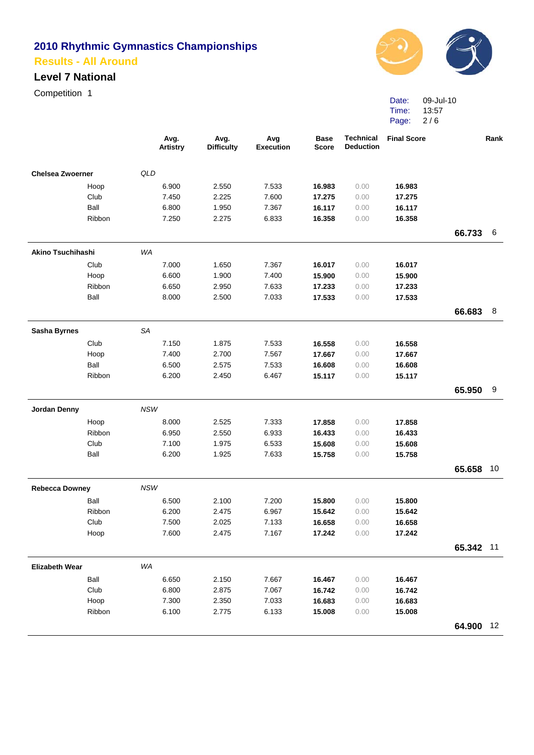#### **Level 7 National**

Competition 1



Date: Time: Page: 09-Jul-10 13:57 2 / 6

|                                                                                                                                                                                                                                                                                                                                                                                                                                                                                                                                                                                                                                                                                               |        |     | Avg.<br><b>Artistry</b> | Avg.<br><b>Difficulty</b> | Avg<br><b>Execution</b> | <b>Base</b><br><b>Score</b>                                                                                                                                                                                                                                                                                                                                                                                                                                                    | <b>Technical</b><br><b>Deduction</b> | <b>Final Score</b> |           | Rank |
|-----------------------------------------------------------------------------------------------------------------------------------------------------------------------------------------------------------------------------------------------------------------------------------------------------------------------------------------------------------------------------------------------------------------------------------------------------------------------------------------------------------------------------------------------------------------------------------------------------------------------------------------------------------------------------------------------|--------|-----|-------------------------|---------------------------|-------------------------|--------------------------------------------------------------------------------------------------------------------------------------------------------------------------------------------------------------------------------------------------------------------------------------------------------------------------------------------------------------------------------------------------------------------------------------------------------------------------------|--------------------------------------|--------------------|-----------|------|
|                                                                                                                                                                                                                                                                                                                                                                                                                                                                                                                                                                                                                                                                                               |        | QLD |                         |                           |                         |                                                                                                                                                                                                                                                                                                                                                                                                                                                                                |                                      |                    |           |      |
|                                                                                                                                                                                                                                                                                                                                                                                                                                                                                                                                                                                                                                                                                               |        |     | 6.900                   | 2.550                     | 7.533                   | 16.983                                                                                                                                                                                                                                                                                                                                                                                                                                                                         | 0.00                                 | 16.983             |           |      |
|                                                                                                                                                                                                                                                                                                                                                                                                                                                                                                                                                                                                                                                                                               | Club   |     | 7.450                   | 2.225                     | 7.600                   | 17.275                                                                                                                                                                                                                                                                                                                                                                                                                                                                         | 0.00                                 | 17.275             |           |      |
|                                                                                                                                                                                                                                                                                                                                                                                                                                                                                                                                                                                                                                                                                               | Ball   |     | 6.800                   | 1.950                     | 7.367                   | 16.117                                                                                                                                                                                                                                                                                                                                                                                                                                                                         | 0.00                                 | 16.117             |           |      |
|                                                                                                                                                                                                                                                                                                                                                                                                                                                                                                                                                                                                                                                                                               | Ribbon |     | 7.250                   | 2.275                     | 6.833                   | 16.358                                                                                                                                                                                                                                                                                                                                                                                                                                                                         | 0.00                                 | 16.358             |           |      |
|                                                                                                                                                                                                                                                                                                                                                                                                                                                                                                                                                                                                                                                                                               |        |     |                         |                           |                         |                                                                                                                                                                                                                                                                                                                                                                                                                                                                                |                                      |                    | 66.733    | -6   |
|                                                                                                                                                                                                                                                                                                                                                                                                                                                                                                                                                                                                                                                                                               |        | WA  |                         |                           |                         |                                                                                                                                                                                                                                                                                                                                                                                                                                                                                |                                      |                    |           |      |
|                                                                                                                                                                                                                                                                                                                                                                                                                                                                                                                                                                                                                                                                                               | Club   |     |                         |                           | 7.367                   | 16.017                                                                                                                                                                                                                                                                                                                                                                                                                                                                         | 0.00                                 | 16.017             |           |      |
|                                                                                                                                                                                                                                                                                                                                                                                                                                                                                                                                                                                                                                                                                               |        |     |                         |                           |                         | 15.900                                                                                                                                                                                                                                                                                                                                                                                                                                                                         |                                      |                    |           |      |
|                                                                                                                                                                                                                                                                                                                                                                                                                                                                                                                                                                                                                                                                                               | Ribbon |     | 6.650                   | 2.950                     | 7.633                   | 17.233                                                                                                                                                                                                                                                                                                                                                                                                                                                                         | 0.00                                 | 17.233             |           |      |
|                                                                                                                                                                                                                                                                                                                                                                                                                                                                                                                                                                                                                                                                                               | Ball   |     | 8.000                   | 2.500                     | 7.033                   | 17.533                                                                                                                                                                                                                                                                                                                                                                                                                                                                         | 0.00                                 | 17.533             |           |      |
|                                                                                                                                                                                                                                                                                                                                                                                                                                                                                                                                                                                                                                                                                               |        |     |                         |                           |                         |                                                                                                                                                                                                                                                                                                                                                                                                                                                                                |                                      |                    | 66.683    | 8    |
|                                                                                                                                                                                                                                                                                                                                                                                                                                                                                                                                                                                                                                                                                               |        |     |                         |                           |                         | 0.00<br>15.900<br>16.558<br>0.00<br>16.558<br>17.667<br>0.00<br>17.667<br>16.608<br>0.00<br>16.608<br>15.117<br>0.00<br>15.117<br>17.858<br>0.00<br>17.858<br>16.433<br>0.00<br>16.433<br>15.608<br>0.00<br>15.608<br>0.00<br>15.758<br>15.758<br>15.800<br>0.00<br>15.800<br>15.642<br>0.00<br>15.642<br>16.658<br>0.00<br>16.658<br>17.242<br>17.242<br>0.00<br>16.467<br>0.00<br>16.467<br>16.742<br>0.00<br>16.742<br>16.683<br>0.00<br>16.683<br>15.008<br>0.00<br>15.008 |                                      |                    |           |      |
|                                                                                                                                                                                                                                                                                                                                                                                                                                                                                                                                                                                                                                                                                               |        |     |                         |                           |                         |                                                                                                                                                                                                                                                                                                                                                                                                                                                                                |                                      |                    |           |      |
|                                                                                                                                                                                                                                                                                                                                                                                                                                                                                                                                                                                                                                                                                               |        |     |                         |                           |                         |                                                                                                                                                                                                                                                                                                                                                                                                                                                                                |                                      |                    |           |      |
|                                                                                                                                                                                                                                                                                                                                                                                                                                                                                                                                                                                                                                                                                               | Ball   |     | 6.500                   |                           |                         |                                                                                                                                                                                                                                                                                                                                                                                                                                                                                |                                      |                    |           |      |
|                                                                                                                                                                                                                                                                                                                                                                                                                                                                                                                                                                                                                                                                                               | Ribbon |     | 6.200                   | 2.450                     | 6.467                   |                                                                                                                                                                                                                                                                                                                                                                                                                                                                                |                                      |                    |           |      |
|                                                                                                                                                                                                                                                                                                                                                                                                                                                                                                                                                                                                                                                                                               |        |     |                         |                           |                         |                                                                                                                                                                                                                                                                                                                                                                                                                                                                                |                                      |                    | 65.950    | 9    |
| Jordan Denny                                                                                                                                                                                                                                                                                                                                                                                                                                                                                                                                                                                                                                                                                  |        |     |                         |                           |                         |                                                                                                                                                                                                                                                                                                                                                                                                                                                                                |                                      |                    |           |      |
|                                                                                                                                                                                                                                                                                                                                                                                                                                                                                                                                                                                                                                                                                               |        |     |                         |                           |                         |                                                                                                                                                                                                                                                                                                                                                                                                                                                                                |                                      |                    |           |      |
|                                                                                                                                                                                                                                                                                                                                                                                                                                                                                                                                                                                                                                                                                               |        |     | 6.950                   |                           |                         |                                                                                                                                                                                                                                                                                                                                                                                                                                                                                |                                      |                    |           |      |
|                                                                                                                                                                                                                                                                                                                                                                                                                                                                                                                                                                                                                                                                                               | Club   |     | 7.100                   | 1.975                     |                         |                                                                                                                                                                                                                                                                                                                                                                                                                                                                                |                                      |                    |           |      |
|                                                                                                                                                                                                                                                                                                                                                                                                                                                                                                                                                                                                                                                                                               | Ball   |     | 6.200                   | 1.925                     | 7.633                   |                                                                                                                                                                                                                                                                                                                                                                                                                                                                                |                                      |                    |           |      |
|                                                                                                                                                                                                                                                                                                                                                                                                                                                                                                                                                                                                                                                                                               |        |     |                         |                           |                         |                                                                                                                                                                                                                                                                                                                                                                                                                                                                                |                                      |                    | 65.658    | 10   |
| <b>Chelsea Zwoerner</b><br>Hoop<br><b>Akino Tsuchihashi</b><br>7.000<br>1.650<br>6.600<br>1.900<br>7.400<br>Hoop<br>SA<br><b>Sasha Byrnes</b><br>Club<br>7.150<br>1.875<br>7.533<br>Hoop<br>2.700<br>7.400<br>7.567<br>7.533<br>2.575<br><b>NSW</b><br>Hoop<br>8.000<br>2.525<br>7.333<br>Ribbon<br>2.550<br>6.933<br>6.533<br><b>NSW</b><br><b>Rebecca Downey</b><br>Ball<br>6.500<br>2.100<br>7.200<br>Ribbon<br>6.200<br>2.475<br>6.967<br>Club<br>7.500<br>2.025<br>7.133<br>Hoop<br>7.600<br>2.475<br>7.167<br>WA<br><b>Elizabeth Wear</b><br>Ball<br>2.150<br>6.650<br>7.667<br>Club<br>6.800<br>2.875<br>7.067<br>Hoop<br>7.300<br>2.350<br>7.033<br>Ribbon<br>6.100<br>2.775<br>6.133 |        |     |                         |                           |                         |                                                                                                                                                                                                                                                                                                                                                                                                                                                                                |                                      |                    |           |      |
|                                                                                                                                                                                                                                                                                                                                                                                                                                                                                                                                                                                                                                                                                               |        |     |                         |                           |                         |                                                                                                                                                                                                                                                                                                                                                                                                                                                                                |                                      |                    |           |      |
|                                                                                                                                                                                                                                                                                                                                                                                                                                                                                                                                                                                                                                                                                               |        |     |                         |                           |                         |                                                                                                                                                                                                                                                                                                                                                                                                                                                                                |                                      |                    |           |      |
|                                                                                                                                                                                                                                                                                                                                                                                                                                                                                                                                                                                                                                                                                               |        |     |                         |                           |                         |                                                                                                                                                                                                                                                                                                                                                                                                                                                                                |                                      |                    |           |      |
|                                                                                                                                                                                                                                                                                                                                                                                                                                                                                                                                                                                                                                                                                               |        |     |                         |                           |                         |                                                                                                                                                                                                                                                                                                                                                                                                                                                                                |                                      |                    |           |      |
|                                                                                                                                                                                                                                                                                                                                                                                                                                                                                                                                                                                                                                                                                               |        |     |                         |                           |                         |                                                                                                                                                                                                                                                                                                                                                                                                                                                                                |                                      |                    | 65.342 11 |      |
|                                                                                                                                                                                                                                                                                                                                                                                                                                                                                                                                                                                                                                                                                               |        |     |                         |                           |                         |                                                                                                                                                                                                                                                                                                                                                                                                                                                                                |                                      |                    |           |      |
|                                                                                                                                                                                                                                                                                                                                                                                                                                                                                                                                                                                                                                                                                               |        |     |                         |                           |                         |                                                                                                                                                                                                                                                                                                                                                                                                                                                                                |                                      |                    |           |      |
|                                                                                                                                                                                                                                                                                                                                                                                                                                                                                                                                                                                                                                                                                               |        |     |                         |                           |                         |                                                                                                                                                                                                                                                                                                                                                                                                                                                                                |                                      |                    |           |      |
|                                                                                                                                                                                                                                                                                                                                                                                                                                                                                                                                                                                                                                                                                               |        |     |                         |                           |                         |                                                                                                                                                                                                                                                                                                                                                                                                                                                                                |                                      |                    |           |      |
|                                                                                                                                                                                                                                                                                                                                                                                                                                                                                                                                                                                                                                                                                               |        |     |                         |                           |                         |                                                                                                                                                                                                                                                                                                                                                                                                                                                                                |                                      |                    |           |      |
|                                                                                                                                                                                                                                                                                                                                                                                                                                                                                                                                                                                                                                                                                               |        |     |                         |                           |                         |                                                                                                                                                                                                                                                                                                                                                                                                                                                                                |                                      |                    | 64.900 12 |      |
|                                                                                                                                                                                                                                                                                                                                                                                                                                                                                                                                                                                                                                                                                               |        |     |                         |                           |                         |                                                                                                                                                                                                                                                                                                                                                                                                                                                                                |                                      |                    |           |      |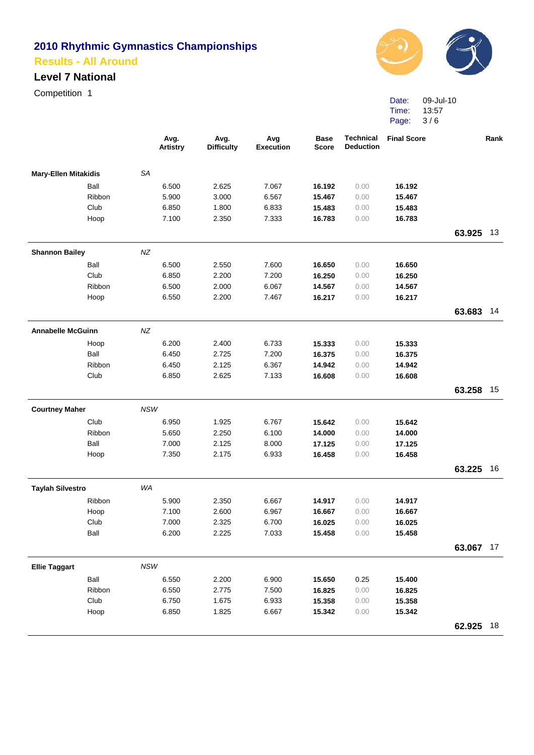#### **Level 7 National**

Competition 1



Date: Time: Page: 09-Jul-10 13:57 3 / 6

|                             |        |            | Avg.<br><b>Artistry</b> | Avg.<br><b>Difficulty</b> | Avg<br><b>Execution</b> | <b>Base</b><br><b>Score</b> | <b>Technical</b><br><b>Deduction</b> | <b>Final Score</b> |           | Rank |
|-----------------------------|--------|------------|-------------------------|---------------------------|-------------------------|-----------------------------|--------------------------------------|--------------------|-----------|------|
| <b>Mary-Ellen Mitakidis</b> |        | SA         |                         |                           |                         |                             |                                      |                    |           |      |
|                             | Ball   |            | 6.500                   | 2.625                     | 7.067                   | 16.192                      | 0.00                                 | 16.192             |           |      |
|                             | Ribbon |            | 5.900                   | 3.000                     | 6.567                   | 15.467                      | 0.00                                 | 15.467             |           |      |
|                             | Club   |            | 6.850                   | 1.800                     | 6.833                   | 15.483                      | 0.00                                 | 15.483             |           |      |
|                             | Hoop   |            | 7.100                   | 2.350                     | 7.333                   | 16.783                      | 0.00                                 | 16.783             |           |      |
|                             |        |            |                         |                           |                         |                             |                                      |                    | 63.925    | 13   |
| <b>Shannon Bailey</b>       |        | NZ         |                         |                           |                         |                             |                                      |                    |           |      |
|                             | Ball   |            | 6.500                   | 2.550                     | 7.600                   | 16.650                      | 0.00                                 | 16.650             |           |      |
|                             | Club   |            | 6.850                   | 2.200                     | 7.200                   | 16.250                      | 0.00                                 | 16.250             |           |      |
|                             | Ribbon |            | 6.500                   | 2.000                     | 6.067                   | 14.567                      | 0.00                                 | 14.567             |           |      |
|                             | Hoop   |            | 6.550                   | 2.200                     | 7.467                   | 16.217                      | 0.00                                 | 16.217             |           |      |
|                             |        |            |                         |                           |                         |                             |                                      |                    | 63.683    | 14   |
| <b>Annabelle McGuinn</b>    |        | NZ         |                         |                           |                         |                             |                                      |                    |           |      |
|                             | Hoop   |            | 6.200                   | 2.400                     | 6.733                   | 15.333                      | 0.00                                 | 15.333             |           |      |
|                             | Ball   |            | 6.450                   | 2.725                     | 7.200                   | 16.375                      | 0.00                                 | 16.375             |           |      |
|                             | Ribbon |            | 6.450                   | 2.125                     | 6.367                   | 14.942                      | 0.00                                 | 14.942             |           |      |
|                             | Club   |            | 6.850                   | 2.625                     | 7.133                   | 16.608                      | 0.00                                 | 16.608             |           |      |
|                             |        |            |                         |                           |                         |                             |                                      |                    | 63.258    | 15   |
| <b>Courtney Maher</b>       |        | <b>NSW</b> |                         |                           |                         |                             |                                      |                    |           |      |
|                             | Club   |            | 6.950                   | 1.925                     | 6.767                   | 15.642                      | 0.00                                 | 15.642             |           |      |
|                             | Ribbon |            | 5.650                   | 2.250                     | 6.100                   | 14.000                      | 0.00                                 | 14.000             |           |      |
|                             | Ball   |            | 7.000                   | 2.125                     | 8.000                   | 17.125                      | 0.00                                 | 17.125             |           |      |
|                             | Hoop   |            | 7.350                   | 2.175                     | 6.933                   | 16.458                      | 0.00                                 | 16.458             |           |      |
|                             |        |            |                         |                           |                         |                             |                                      |                    | 63.225    | 16   |
| <b>Taylah Silvestro</b>     |        | WA         |                         |                           |                         |                             |                                      |                    |           |      |
|                             | Ribbon |            | 5.900                   | 2.350                     | 6.667                   | 14.917                      | 0.00                                 | 14.917             |           |      |
|                             | Hoop   |            | 7.100                   | 2.600                     | 6.967                   | 16.667                      | 0.00                                 | 16.667             |           |      |
|                             | Club   |            | 7.000                   | 2.325                     | 6.700                   | 16.025                      | 0.00                                 | 16.025             |           |      |
|                             | Ball   |            | 6.200                   | 2.225                     | 7.033                   | 15.458                      | 0.00                                 | 15.458             |           |      |
|                             |        |            |                         |                           |                         |                             |                                      |                    | 63.067 17 |      |
| <b>Ellie Taggart</b>        |        | NSW        |                         |                           |                         |                             |                                      |                    |           |      |
|                             | Ball   |            | 6.550                   | 2.200                     | 6.900                   | 15.650                      | 0.25                                 | 15.400             |           |      |
|                             | Ribbon |            | 6.550                   | 2.775                     | 7.500                   | 16.825                      | 0.00                                 | 16.825             |           |      |
|                             | Club   |            | 6.750                   | 1.675                     | 6.933                   | 15.358                      | 0.00                                 | 15.358             |           |      |
|                             | Hoop   |            | 6.850                   | 1.825                     | 6.667                   | 15.342                      | 0.00                                 | 15.342             |           |      |
|                             |        |            |                         |                           |                         |                             |                                      |                    | 62.925 18 |      |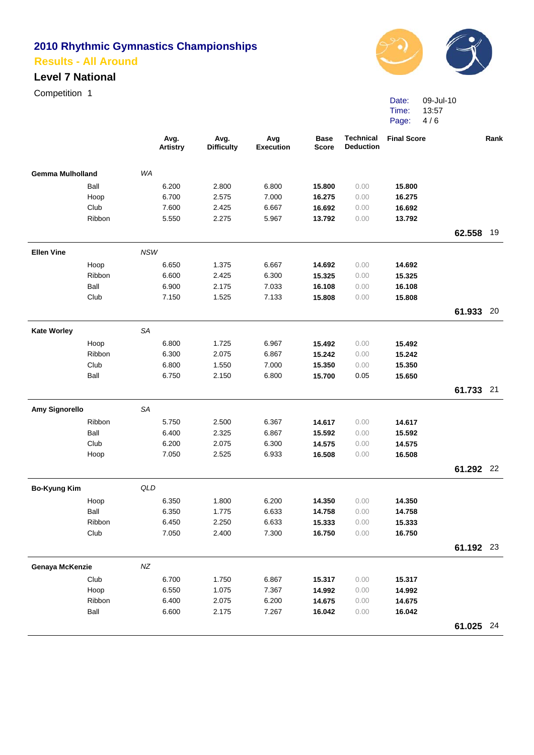#### **Level 7 National**

Competition 1



Date: Time: Page: 09-Jul-10 13:57 4 / 6

|                         |        |            | Avg.<br><b>Artistry</b> | Avg.<br><b>Difficulty</b> | Avg<br><b>Execution</b> | <b>Base</b><br><b>Score</b> | <b>Technical</b><br><b>Deduction</b> | <b>Final Score</b> |           | Rank |
|-------------------------|--------|------------|-------------------------|---------------------------|-------------------------|-----------------------------|--------------------------------------|--------------------|-----------|------|
| <b>Gemma Mulholland</b> |        | WA         |                         |                           |                         |                             |                                      |                    |           |      |
|                         | Ball   |            | 6.200                   | 2.800                     | 6.800                   | 15.800                      | 0.00                                 | 15.800             |           |      |
|                         | Hoop   |            | 6.700                   | 2.575                     | 7.000                   | 16.275                      | 0.00                                 | 16.275             |           |      |
|                         | Club   |            | 7.600                   | 2.425                     | 6.667                   | 16.692                      | 0.00                                 | 16.692             |           |      |
|                         | Ribbon |            | 5.550                   | 2.275                     | 5.967                   | 13.792                      | 0.00                                 | 13.792             |           |      |
|                         |        |            |                         |                           |                         |                             |                                      |                    | 62.558    | 19   |
| <b>Ellen Vine</b>       |        | <b>NSW</b> |                         |                           |                         |                             |                                      |                    |           |      |
|                         | Hoop   |            | 6.650                   | 1.375                     | 6.667                   | 14.692                      | 0.00                                 | 14.692             |           |      |
|                         | Ribbon |            | 6.600                   | 2.425                     | 6.300                   | 15.325                      | 0.00                                 | 15.325             |           |      |
|                         | Ball   |            | 6.900                   | 2.175                     | 7.033                   | 16.108                      | 0.00                                 | 16.108             |           |      |
|                         | Club   |            | 7.150                   | 1.525                     | 7.133                   | 15.808                      | 0.00                                 | 15.808             |           |      |
|                         |        |            |                         |                           |                         |                             |                                      |                    | 61.933    | -20  |
| <b>Kate Worley</b>      |        | SA         |                         |                           |                         |                             |                                      |                    |           |      |
|                         | Hoop   |            | 6.800                   | 1.725                     | 6.967                   | 15.492                      | 0.00                                 | 15.492             |           |      |
|                         | Ribbon |            | 6.300                   | 2.075                     | 6.867                   | 15.242                      | 0.00                                 | 15.242             |           |      |
|                         | Club   |            | 6.800                   | 1.550                     | 7.000                   | 15.350                      | 0.00                                 | 15.350             |           |      |
|                         | Ball   |            | 6.750                   | 2.150                     | 6.800                   | 15.700                      | 0.05                                 | 15.650             |           |      |
|                         |        |            |                         |                           |                         |                             |                                      |                    | 61.733 21 |      |
| <b>Amy Signorello</b>   |        | <b>SA</b>  |                         |                           |                         |                             |                                      |                    |           |      |
|                         | Ribbon |            | 5.750                   | 2.500                     | 6.367                   | 14.617                      | 0.00                                 | 14.617             |           |      |
|                         | Ball   |            | 6.400                   | 2.325                     | 6.867                   | 15.592                      | 0.00                                 | 15.592             |           |      |
|                         | Club   |            | 6.200                   | 2.075                     | 6.300                   | 14.575                      | 0.00                                 | 14.575             |           |      |
|                         | Hoop   |            | 7.050                   | 2.525                     | 6.933                   | 16.508                      | 0.00                                 | 16.508             |           |      |
|                         |        |            |                         |                           |                         |                             |                                      |                    | 61.292 22 |      |
| <b>Bo-Kyung Kim</b>     |        | QLD        |                         |                           |                         |                             |                                      |                    |           |      |
|                         | Hoop   |            | 6.350                   | 1.800                     | 6.200                   | 14.350                      | 0.00                                 | 14.350             |           |      |
|                         | Ball   |            | 6.350                   | 1.775                     | 6.633                   | 14.758                      | 0.00                                 | 14.758             |           |      |
|                         | Ribbon |            | 6.450                   | 2.250                     | 6.633                   | 15.333                      | 0.00                                 | 15.333             |           |      |
|                         | Club   |            | 7.050                   | 2.400                     | 7.300                   | 16.750                      | 0.00                                 | 16.750             |           |      |
|                         |        |            |                         |                           |                         |                             |                                      |                    | 61.192 23 |      |
| Genaya McKenzie         |        | $N\!Z$     |                         |                           |                         |                             |                                      |                    |           |      |
|                         | Club   |            | 6.700                   | 1.750                     | 6.867                   | 15.317                      | 0.00                                 | 15.317             |           |      |
|                         | Hoop   |            | 6.550                   | 1.075                     | 7.367                   | 14.992                      | 0.00                                 | 14.992             |           |      |
|                         | Ribbon |            | 6.400                   | 2.075                     | 6.200                   | 14.675                      | 0.00                                 | 14.675             |           |      |
|                         | Ball   |            | 6.600                   | 2.175                     | 7.267                   | 16.042                      | 0.00                                 | 16.042             |           |      |
|                         |        |            |                         |                           |                         |                             |                                      |                    | 61.025 24 |      |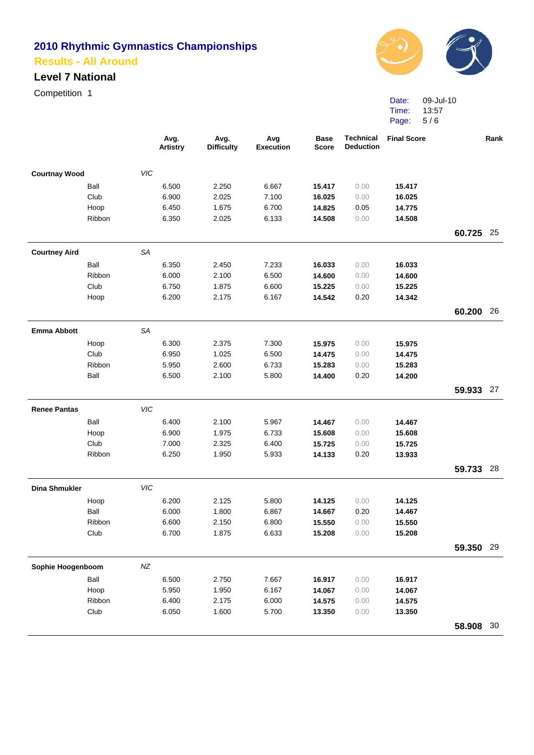#### **Level 7 National**

Competition 1



Date: Time: Page: 09-Jul-10 13:57 5 / 6

|                                                                                                                                                                                                                                                                                                                                                                                                                                                                                                                                                                                                                                                                                                                                                                                                                                                                                                                                                                                                                                                                                                                                                                                                                                                                                                                                                                                                                                                                                                                                                                                                                                                                                                                                                                                                                                                                            |  | <b>Artistry</b> | <b>Difficulty</b> | <b>Execution</b> | <b>Score</b> | <b>Deduction</b> |  |           | Rank |
|----------------------------------------------------------------------------------------------------------------------------------------------------------------------------------------------------------------------------------------------------------------------------------------------------------------------------------------------------------------------------------------------------------------------------------------------------------------------------------------------------------------------------------------------------------------------------------------------------------------------------------------------------------------------------------------------------------------------------------------------------------------------------------------------------------------------------------------------------------------------------------------------------------------------------------------------------------------------------------------------------------------------------------------------------------------------------------------------------------------------------------------------------------------------------------------------------------------------------------------------------------------------------------------------------------------------------------------------------------------------------------------------------------------------------------------------------------------------------------------------------------------------------------------------------------------------------------------------------------------------------------------------------------------------------------------------------------------------------------------------------------------------------------------------------------------------------------------------------------------------------|--|-----------------|-------------------|------------------|--------------|------------------|--|-----------|------|
| Avg.<br>Avg.<br>Avg<br><b>Technical</b><br><b>Final Score</b><br><b>Base</b><br><b>VIC</b><br><b>Courtnay Wood</b><br>Ball<br>6.500<br>2.250<br>6.667<br>15.417<br>0.00<br>15.417<br>Club<br>6.900<br>2.025<br>7.100<br>16.025<br>0.00<br>16.025<br>1.675<br>6.700<br>14.775<br>Hoop<br>6.450<br>14.825<br>0.05<br>Ribbon<br>14.508<br>6.350<br>2.025<br>6.133<br>14.508<br>0.00<br><b>SA</b><br><b>Courtney Aird</b><br>Ball<br>6.350<br>2.450<br>7.233<br>16.033<br>0.00<br>16.033<br>Ribbon<br>6.000<br>2.100<br>6.500<br>14.600<br>0.00<br>14.600<br>Club<br>1.875<br>15.225<br>6.750<br>6.600<br>0.00<br>15.225<br>0.20<br>14.342<br>Hoop<br>6.200<br>2.175<br>6.167<br>14.542<br><b>Emma Abbott</b><br>SA<br>2.375<br>7.300<br>Hoop<br>6.300<br>15.975<br>0.00<br>15.975<br>Club<br>6.950<br>1.025<br>6.500<br>14.475<br>0.00<br>14.475<br>Ribbon<br>5.950<br>2.600<br>6.733<br>15.283<br>0.00<br>15.283<br>Ball<br>2.100<br>5.800<br>0.20<br>6.500<br>14.400<br>14.200<br><b>Renee Pantas</b><br><b>VIC</b><br>Ball<br>6.400<br>2.100<br>5.967<br>0.00<br>14.467<br>14.467<br>6.900<br>1.975<br>6.733<br>Hoop<br>15.608<br>0.00<br>15.608<br>Club<br>7.000<br>2.325<br>6.400<br>15.725<br>0.00<br>15.725<br>Ribbon<br>6.250<br>1.950<br>5.933<br>14.133<br>0.20<br>13.933<br>VIC<br><b>Dina Shmukler</b><br>6.200<br>5.800<br>Hoop<br>2.125<br>0.00<br>14.125<br>14.125<br>Ball<br>6.000<br>1.800<br>6.867<br>0.20<br>14.667<br>14.467<br>Ribbon<br>6.600<br>6.800<br>2.150<br>15.550<br>0.00<br>15.550<br>Club<br>6.633<br>6.700<br>1.875<br>0.00<br>15.208<br>15.208<br>$N\!Z$<br>Sophie Hoogenboom<br>Ball<br>6.500<br>2.750<br>7.667<br>0.00<br>16.917<br>16.917<br>6.167<br>Hoop<br>5.950<br>1.950<br>14.067<br>0.00<br>14.067<br>Ribbon<br>6.400<br>2.175<br>6.000<br>14.575<br>0.00<br>14.575<br>Club<br>5.700<br>6.050<br>1.600<br>0.00<br>13.350<br>13.350 |  |                 |                   |                  |              |                  |  |           |      |
|                                                                                                                                                                                                                                                                                                                                                                                                                                                                                                                                                                                                                                                                                                                                                                                                                                                                                                                                                                                                                                                                                                                                                                                                                                                                                                                                                                                                                                                                                                                                                                                                                                                                                                                                                                                                                                                                            |  |                 |                   |                  |              |                  |  |           |      |
|                                                                                                                                                                                                                                                                                                                                                                                                                                                                                                                                                                                                                                                                                                                                                                                                                                                                                                                                                                                                                                                                                                                                                                                                                                                                                                                                                                                                                                                                                                                                                                                                                                                                                                                                                                                                                                                                            |  |                 |                   |                  |              |                  |  |           |      |
|                                                                                                                                                                                                                                                                                                                                                                                                                                                                                                                                                                                                                                                                                                                                                                                                                                                                                                                                                                                                                                                                                                                                                                                                                                                                                                                                                                                                                                                                                                                                                                                                                                                                                                                                                                                                                                                                            |  |                 |                   |                  |              |                  |  |           |      |
|                                                                                                                                                                                                                                                                                                                                                                                                                                                                                                                                                                                                                                                                                                                                                                                                                                                                                                                                                                                                                                                                                                                                                                                                                                                                                                                                                                                                                                                                                                                                                                                                                                                                                                                                                                                                                                                                            |  |                 |                   |                  |              |                  |  |           |      |
|                                                                                                                                                                                                                                                                                                                                                                                                                                                                                                                                                                                                                                                                                                                                                                                                                                                                                                                                                                                                                                                                                                                                                                                                                                                                                                                                                                                                                                                                                                                                                                                                                                                                                                                                                                                                                                                                            |  |                 |                   |                  |              |                  |  | 60.725    | 25   |
|                                                                                                                                                                                                                                                                                                                                                                                                                                                                                                                                                                                                                                                                                                                                                                                                                                                                                                                                                                                                                                                                                                                                                                                                                                                                                                                                                                                                                                                                                                                                                                                                                                                                                                                                                                                                                                                                            |  |                 |                   |                  |              |                  |  |           |      |
|                                                                                                                                                                                                                                                                                                                                                                                                                                                                                                                                                                                                                                                                                                                                                                                                                                                                                                                                                                                                                                                                                                                                                                                                                                                                                                                                                                                                                                                                                                                                                                                                                                                                                                                                                                                                                                                                            |  |                 |                   |                  |              |                  |  |           |      |
|                                                                                                                                                                                                                                                                                                                                                                                                                                                                                                                                                                                                                                                                                                                                                                                                                                                                                                                                                                                                                                                                                                                                                                                                                                                                                                                                                                                                                                                                                                                                                                                                                                                                                                                                                                                                                                                                            |  |                 |                   |                  |              |                  |  |           |      |
|                                                                                                                                                                                                                                                                                                                                                                                                                                                                                                                                                                                                                                                                                                                                                                                                                                                                                                                                                                                                                                                                                                                                                                                                                                                                                                                                                                                                                                                                                                                                                                                                                                                                                                                                                                                                                                                                            |  |                 |                   |                  |              |                  |  |           |      |
|                                                                                                                                                                                                                                                                                                                                                                                                                                                                                                                                                                                                                                                                                                                                                                                                                                                                                                                                                                                                                                                                                                                                                                                                                                                                                                                                                                                                                                                                                                                                                                                                                                                                                                                                                                                                                                                                            |  |                 |                   |                  |              |                  |  |           |      |
|                                                                                                                                                                                                                                                                                                                                                                                                                                                                                                                                                                                                                                                                                                                                                                                                                                                                                                                                                                                                                                                                                                                                                                                                                                                                                                                                                                                                                                                                                                                                                                                                                                                                                                                                                                                                                                                                            |  |                 |                   |                  |              |                  |  | 60.200 26 |      |
|                                                                                                                                                                                                                                                                                                                                                                                                                                                                                                                                                                                                                                                                                                                                                                                                                                                                                                                                                                                                                                                                                                                                                                                                                                                                                                                                                                                                                                                                                                                                                                                                                                                                                                                                                                                                                                                                            |  |                 |                   |                  |              |                  |  |           |      |
|                                                                                                                                                                                                                                                                                                                                                                                                                                                                                                                                                                                                                                                                                                                                                                                                                                                                                                                                                                                                                                                                                                                                                                                                                                                                                                                                                                                                                                                                                                                                                                                                                                                                                                                                                                                                                                                                            |  |                 |                   |                  |              |                  |  |           |      |
|                                                                                                                                                                                                                                                                                                                                                                                                                                                                                                                                                                                                                                                                                                                                                                                                                                                                                                                                                                                                                                                                                                                                                                                                                                                                                                                                                                                                                                                                                                                                                                                                                                                                                                                                                                                                                                                                            |  |                 |                   |                  |              |                  |  |           |      |
|                                                                                                                                                                                                                                                                                                                                                                                                                                                                                                                                                                                                                                                                                                                                                                                                                                                                                                                                                                                                                                                                                                                                                                                                                                                                                                                                                                                                                                                                                                                                                                                                                                                                                                                                                                                                                                                                            |  |                 |                   |                  |              |                  |  |           |      |
|                                                                                                                                                                                                                                                                                                                                                                                                                                                                                                                                                                                                                                                                                                                                                                                                                                                                                                                                                                                                                                                                                                                                                                                                                                                                                                                                                                                                                                                                                                                                                                                                                                                                                                                                                                                                                                                                            |  |                 |                   |                  |              |                  |  |           |      |
|                                                                                                                                                                                                                                                                                                                                                                                                                                                                                                                                                                                                                                                                                                                                                                                                                                                                                                                                                                                                                                                                                                                                                                                                                                                                                                                                                                                                                                                                                                                                                                                                                                                                                                                                                                                                                                                                            |  |                 |                   |                  |              |                  |  | 59.933    | 27   |
|                                                                                                                                                                                                                                                                                                                                                                                                                                                                                                                                                                                                                                                                                                                                                                                                                                                                                                                                                                                                                                                                                                                                                                                                                                                                                                                                                                                                                                                                                                                                                                                                                                                                                                                                                                                                                                                                            |  |                 |                   |                  |              |                  |  |           |      |
|                                                                                                                                                                                                                                                                                                                                                                                                                                                                                                                                                                                                                                                                                                                                                                                                                                                                                                                                                                                                                                                                                                                                                                                                                                                                                                                                                                                                                                                                                                                                                                                                                                                                                                                                                                                                                                                                            |  |                 |                   |                  |              |                  |  |           |      |
|                                                                                                                                                                                                                                                                                                                                                                                                                                                                                                                                                                                                                                                                                                                                                                                                                                                                                                                                                                                                                                                                                                                                                                                                                                                                                                                                                                                                                                                                                                                                                                                                                                                                                                                                                                                                                                                                            |  |                 |                   |                  |              |                  |  |           |      |
|                                                                                                                                                                                                                                                                                                                                                                                                                                                                                                                                                                                                                                                                                                                                                                                                                                                                                                                                                                                                                                                                                                                                                                                                                                                                                                                                                                                                                                                                                                                                                                                                                                                                                                                                                                                                                                                                            |  |                 |                   |                  |              |                  |  |           |      |
|                                                                                                                                                                                                                                                                                                                                                                                                                                                                                                                                                                                                                                                                                                                                                                                                                                                                                                                                                                                                                                                                                                                                                                                                                                                                                                                                                                                                                                                                                                                                                                                                                                                                                                                                                                                                                                                                            |  |                 |                   |                  |              |                  |  |           |      |
|                                                                                                                                                                                                                                                                                                                                                                                                                                                                                                                                                                                                                                                                                                                                                                                                                                                                                                                                                                                                                                                                                                                                                                                                                                                                                                                                                                                                                                                                                                                                                                                                                                                                                                                                                                                                                                                                            |  |                 |                   |                  |              |                  |  | 59.733    | 28   |
|                                                                                                                                                                                                                                                                                                                                                                                                                                                                                                                                                                                                                                                                                                                                                                                                                                                                                                                                                                                                                                                                                                                                                                                                                                                                                                                                                                                                                                                                                                                                                                                                                                                                                                                                                                                                                                                                            |  |                 |                   |                  |              |                  |  |           |      |
|                                                                                                                                                                                                                                                                                                                                                                                                                                                                                                                                                                                                                                                                                                                                                                                                                                                                                                                                                                                                                                                                                                                                                                                                                                                                                                                                                                                                                                                                                                                                                                                                                                                                                                                                                                                                                                                                            |  |                 |                   |                  |              |                  |  |           |      |
|                                                                                                                                                                                                                                                                                                                                                                                                                                                                                                                                                                                                                                                                                                                                                                                                                                                                                                                                                                                                                                                                                                                                                                                                                                                                                                                                                                                                                                                                                                                                                                                                                                                                                                                                                                                                                                                                            |  |                 |                   |                  |              |                  |  |           |      |
|                                                                                                                                                                                                                                                                                                                                                                                                                                                                                                                                                                                                                                                                                                                                                                                                                                                                                                                                                                                                                                                                                                                                                                                                                                                                                                                                                                                                                                                                                                                                                                                                                                                                                                                                                                                                                                                                            |  |                 |                   |                  |              |                  |  |           |      |
|                                                                                                                                                                                                                                                                                                                                                                                                                                                                                                                                                                                                                                                                                                                                                                                                                                                                                                                                                                                                                                                                                                                                                                                                                                                                                                                                                                                                                                                                                                                                                                                                                                                                                                                                                                                                                                                                            |  |                 |                   |                  |              |                  |  |           |      |
|                                                                                                                                                                                                                                                                                                                                                                                                                                                                                                                                                                                                                                                                                                                                                                                                                                                                                                                                                                                                                                                                                                                                                                                                                                                                                                                                                                                                                                                                                                                                                                                                                                                                                                                                                                                                                                                                            |  |                 |                   |                  |              |                  |  | 59.350 29 |      |
|                                                                                                                                                                                                                                                                                                                                                                                                                                                                                                                                                                                                                                                                                                                                                                                                                                                                                                                                                                                                                                                                                                                                                                                                                                                                                                                                                                                                                                                                                                                                                                                                                                                                                                                                                                                                                                                                            |  |                 |                   |                  |              |                  |  |           |      |
|                                                                                                                                                                                                                                                                                                                                                                                                                                                                                                                                                                                                                                                                                                                                                                                                                                                                                                                                                                                                                                                                                                                                                                                                                                                                                                                                                                                                                                                                                                                                                                                                                                                                                                                                                                                                                                                                            |  |                 |                   |                  |              |                  |  |           |      |
|                                                                                                                                                                                                                                                                                                                                                                                                                                                                                                                                                                                                                                                                                                                                                                                                                                                                                                                                                                                                                                                                                                                                                                                                                                                                                                                                                                                                                                                                                                                                                                                                                                                                                                                                                                                                                                                                            |  |                 |                   |                  |              |                  |  |           |      |
|                                                                                                                                                                                                                                                                                                                                                                                                                                                                                                                                                                                                                                                                                                                                                                                                                                                                                                                                                                                                                                                                                                                                                                                                                                                                                                                                                                                                                                                                                                                                                                                                                                                                                                                                                                                                                                                                            |  |                 |                   |                  |              |                  |  |           |      |
|                                                                                                                                                                                                                                                                                                                                                                                                                                                                                                                                                                                                                                                                                                                                                                                                                                                                                                                                                                                                                                                                                                                                                                                                                                                                                                                                                                                                                                                                                                                                                                                                                                                                                                                                                                                                                                                                            |  |                 |                   |                  |              |                  |  |           |      |
|                                                                                                                                                                                                                                                                                                                                                                                                                                                                                                                                                                                                                                                                                                                                                                                                                                                                                                                                                                                                                                                                                                                                                                                                                                                                                                                                                                                                                                                                                                                                                                                                                                                                                                                                                                                                                                                                            |  |                 |                   |                  |              |                  |  | 58.908 30 |      |
|                                                                                                                                                                                                                                                                                                                                                                                                                                                                                                                                                                                                                                                                                                                                                                                                                                                                                                                                                                                                                                                                                                                                                                                                                                                                                                                                                                                                                                                                                                                                                                                                                                                                                                                                                                                                                                                                            |  |                 |                   |                  |              |                  |  |           |      |